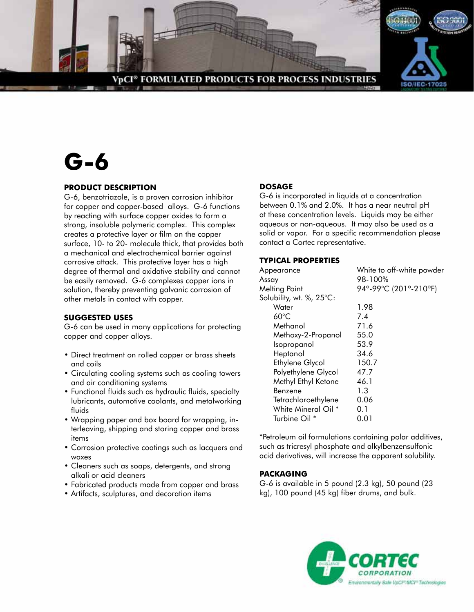

# **G-6**

# **PRODUCT DESCRIPTION**

G-6, benzotriazole, is a proven corrosion inhibitor for copper and copper-based alloys. G-6 functions by reacting with surface copper oxides to form a strong, insoluble polymeric complex. This complex creates a protective layer or film on the copper surface, 10- to 20- molecule thick, that provides both a mechanical and electrochemical barrier against corrosive attack. This protective layer has a high degree of thermal and oxidative stability and cannot be easily removed. G-6 complexes copper ions in solution, thereby preventing galvanic corrosion of other metals in contact with copper.

### **SUGGESTED USES**

G-6 can be used in many applications for protecting copper and copper alloys.

- Direct treatment on rolled copper or brass sheets and coils
- Circulating cooling systems such as cooling towers and air conditioning systems
- Functional fluids such as hydraulic fluids, specialty lubricants, automotive coolants, and metalworking fluids
- Wrapping paper and box board for wrapping, interleaving, shipping and storing copper and brass items
- Corrosion protective coatings such as lacquers and waxes
- Cleaners such as soaps, detergents, and strong alkali or acid cleaners
- Fabricated products made from copper and brass
- Artifacts, sculptures, and decoration items

# **DOSAGE**

G-6 is incorporated in liquids at a concentration between 0.1% and 2.0%. It has a near neutral pH at these concentration levels. Liquids may be either aqueous or non-aqueous. It may also be used as a solid or vapor. For a specific recommendation please contact a Cortec representative.

## **TYPICAL PROPERTIES**

| White to off-white powder |
|---------------------------|
| 98-100%                   |
| 94°-99°C (201°-210°F)     |
|                           |
| 1.98                      |
| 7.4                       |
| 71.6                      |
| 55.0                      |
| 53.9                      |
| 34.6                      |
| 150.7                     |
| 47.7                      |
| 46.1                      |
| 1.3                       |
| 0.06                      |
| 0.1                       |
| 0.01                      |
|                           |

\*Petroleum oil formulations containing polar additives, such as tricresyl phosphate and alkylbenzensulfonic acid derivatives, will increase the apparent solubility.

# **PACKAGING**

G-6 is available in 5 pound (2.3 kg), 50 pound (23 kg), 100 pound (45 kg) fiber drums, and bulk.